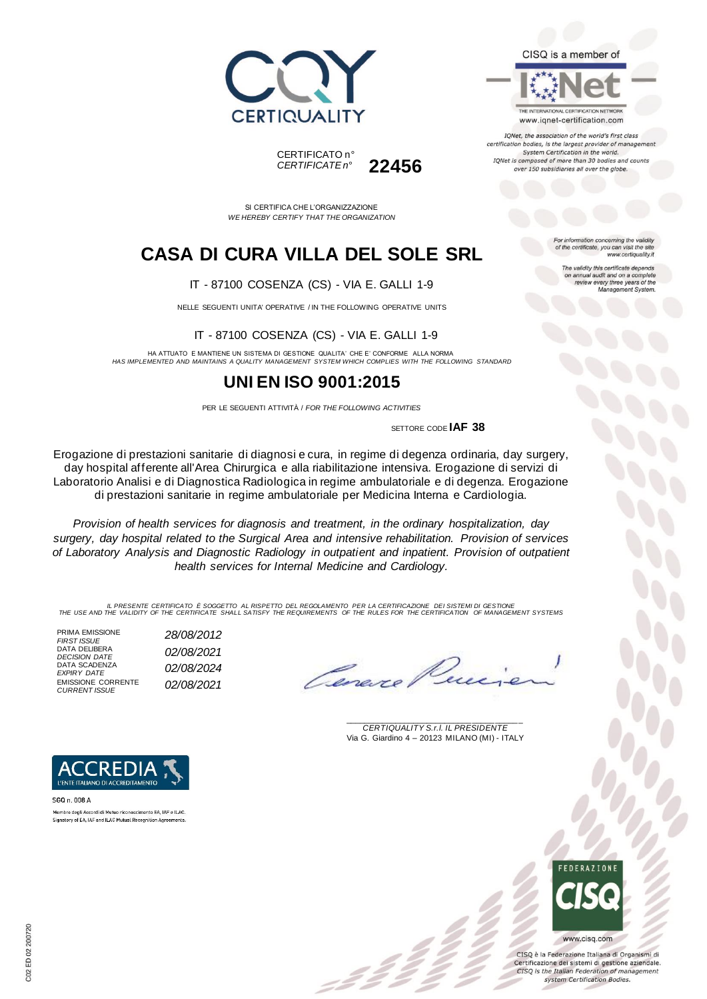



THE INTERNATIONAL CERTIFICATION NETWORK www.iqnet-certification.com

IQNet, the association of the world's first class certification bodies, is the largest provider of managen System Certification in the world. IQNet is composed of more than 30 bodies and counts over 150 subsidiaries all over the globe.

For information concerning the validity<br>of the certificate, you can visit the site

The validity this certificate depends on annual audit and on a complete<br>review every three years of the<br>Management System.

www.certiquality.it

SI CERTIFICA CHE L'ORGANIZZAZIONE *WE HEREBY CERTIFY THAT THE ORGANIZATION*

CERTIFICATO n°

*CERTIFICATE n°* **22456**

## **CASA DI CURA VILLA DEL SOLE SRL**

#### IT - 87100 COSENZA (CS) - VIA E. GALLI 1-9

NELLE SEGUENTI UNITA' OPERATIVE / IN THE FOLLOWING OPERATIVE UNITS

IT - 87100 COSENZA (CS) - VIA E. GALLI 1-9

HA ATTUATO E MANTIENE UN SISTEMA DI GESTIONE QUALITA' CHE E' CONFORME ALLA NORMA *HAS IMPLEMENTED AND MAINTAINS A QUALITY MANAGEMENT SYSTEM WHICH COMPLIES WITH THE FOLLOWING STANDARD*

### **UNI EN ISO 9001:2015**

PER LE SEGUENTI ATTIVITÀ / *FOR THE FOLLOWING ACTIVITIES*

SETTORE CODE **IAF 38**

Erogazione di prestazioni sanitarie di diagnosi e cura, in regime di degenza ordinaria, day surgery, day hospital afferente all'Area Chirurgica e alla riabilitazione intensiva. Erogazione di servizi di Laboratorio Analisi e di Diagnostica Radiologica in regime ambulatoriale e di degenza. Erogazione di prestazioni sanitarie in regime ambulatoriale per Medicina Interna e Cardiologia.

*Provision of health services for diagnosis and treatment, in the ordinary hospitalization, day surgery, day hospital related to the Surgical Area and intensive rehabilitation. Provision of services of Laboratory Analysis and Diagnostic Radiology in outpatient and inpatient. Provision of outpatient health services for Internal Medicine and Cardiology.*

IL PRESENTE CERTIFICATO E SOGGETTO AL RISPETTO DEL REGOLAMENTO PER LA CERTIFICAZIONE DEI SISTEMI DI GESTIONE<br>THE USE AND THE VALIDITY OF THE CERTIFICATE SHALL SATISFY THE REQUIREMENTS OF THE RULES FOR THE CERTIFICATION OF

PRIMA EMISSIONE<br>FIRST ISSUE *FIRST ISSUE 28/08/2012* DATA DELIBERA *DECISION DATE 02/08/2021* DATA SCADENZA *EXPIRY DATE 02/08/2024* EMISSIONE CORRENTE *CURRENT ISSUE 02/08/2021*

Cene

\_\_\_\_\_\_\_\_\_\_\_\_\_\_\_\_\_\_\_\_\_\_\_\_\_\_\_\_\_\_\_\_\_\_\_\_\_\_\_ *CERTIQUALITY S.r.l. IL PRESIDENTE* Via G. Giardino 4 – 20123 MILANO (MI) - ITALY



CISO è la Federazione Italiana di Organismi di Certificazione dei sistemi di gestione aziendale. CISQ is the Italian Federation of management system Certification Bodies.



SGQ n. 008 A Membro degli Accordi di Mutuo riconoscimento EA. IAF e ILAC Signatory of EA, IAF and ILAC Mutual Recognition Agreements